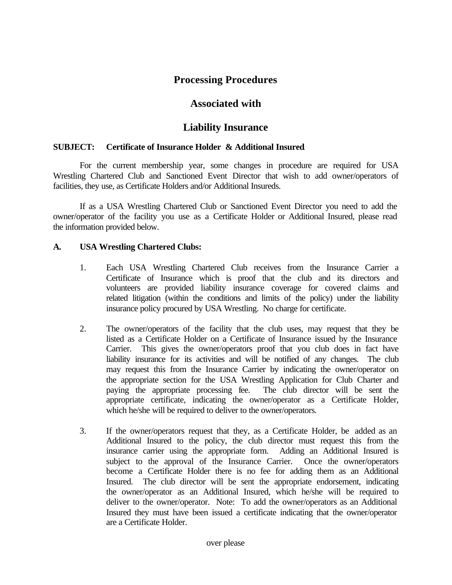## **Processing Procedures**

### **Associated with**

# **Liability Insurance**

#### **SUBJECT: Certificate of Insurance Holder & Additional Insured**.

For the current membership year, some changes in procedure are required for USA Wrestling Chartered Club and Sanctioned Event Director that wish to add owner/operators of facilities, they use, as Certificate Holders and/or Additional Insureds.

If as a USA Wrestling Chartered Club or Sanctioned Event Director you need to add the owner/operator of the facility you use as a Certificate Holder or Additional Insured, please read the information provided below.

### **A. USA Wrestling Chartered Clubs:**

- 1. Each USA Wrestling Chartered Club receives from the Insurance Carrier a Certificate of Insurance which is proof that the club and its directors and volunteers are provided liability insurance coverage for covered claims and related litigation (within the conditions and limits of the policy) under the liability insurance policy procured by USA Wrestling. No charge for certificate.
- 2. The owner/operators of the facility that the club uses, may request that they be listed as a Certificate Holder on a Certificate of Insurance issued by the Insurance Carrier. This gives the owner/operators proof that you club does in fact have liability insurance for its activities and will be notified of any changes. The club may request this from the Insurance Carrier by indicating the owner/operator on the appropriate section for the USA Wrestling Application for Club Charter and paying the appropriate processing fee. The club director will be sent the appropriate certificate, indicating the owner/operator as a Certificate Holder, which he/she will be required to deliver to the owner/operators.
- 3. If the owner/operators request that they, as a Certificate Holder, be added as an Additional Insured to the policy, the club director must request this from the insurance carrier using the appropriate form. Adding an Additional Insured is subject to the approval of the Insurance Carrier. Once the owner/operators become a Certificate Holder there is no fee for adding them as an Additional Insured. The club director will be sent the appropriate endorsement, indicating the owner/operator as an Additional Insured, which he/she will be required to deliver to the owner/operator. Note: To add the owner/operators as an Additional Insured they must have been issued a certificate indicating that the owner/operator are a Certificate Holder.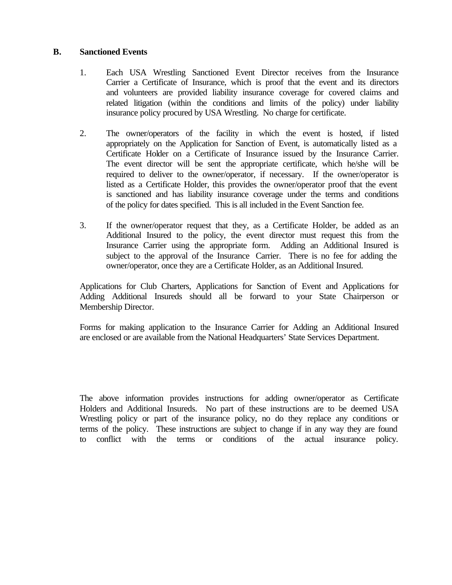#### **B. Sanctioned Events**

- 1. Each USA Wrestling Sanctioned Event Director receives from the Insurance Carrier a Certificate of Insurance, which is proof that the event and its directors and volunteers are provided liability insurance coverage for covered claims and related litigation (within the conditions and limits of the policy) under liability insurance policy procured by USA Wrestling. No charge for certificate.
- 2. The owner/operators of the facility in which the event is hosted, if listed appropriately on the Application for Sanction of Event, is automatically listed as a Certificate Holder on a Certificate of Insurance issued by the Insurance Carrier. The event director will be sent the appropriate certificate, which he/she will be required to deliver to the owner/operator, if necessary. If the owner/operator is listed as a Certificate Holder, this provides the owner/operator proof that the event is sanctioned and has liability insurance coverage under the terms and conditions of the policy for dates specified. This is all included in the Event Sanction fee.
- 3. If the owner/operator request that they, as a Certificate Holder, be added as an Additional Insured to the policy, the event director must request this from the Insurance Carrier using the appropriate form. Adding an Additional Insured is subject to the approval of the Insurance Carrier. There is no fee for adding the owner/operator, once they are a Certificate Holder, as an Additional Insured.

Applications for Club Charters, Applications for Sanction of Event and Applications for Adding Additional Insureds should all be forward to your State Chairperson or Membership Director.

Forms for making application to the Insurance Carrier for Adding an Additional Insured are enclosed or are available from the National Headquarters' State Services Department.

The above information provides instructions for adding owner/operator as Certificate Holders and Additional Insureds. No part of these instructions are to be deemed USA Wrestling policy or part of the insurance policy, no do they replace any conditions or terms of the policy. These instructions are subject to change if in any way they are found to conflict with the terms or conditions of the actual insurance policy.